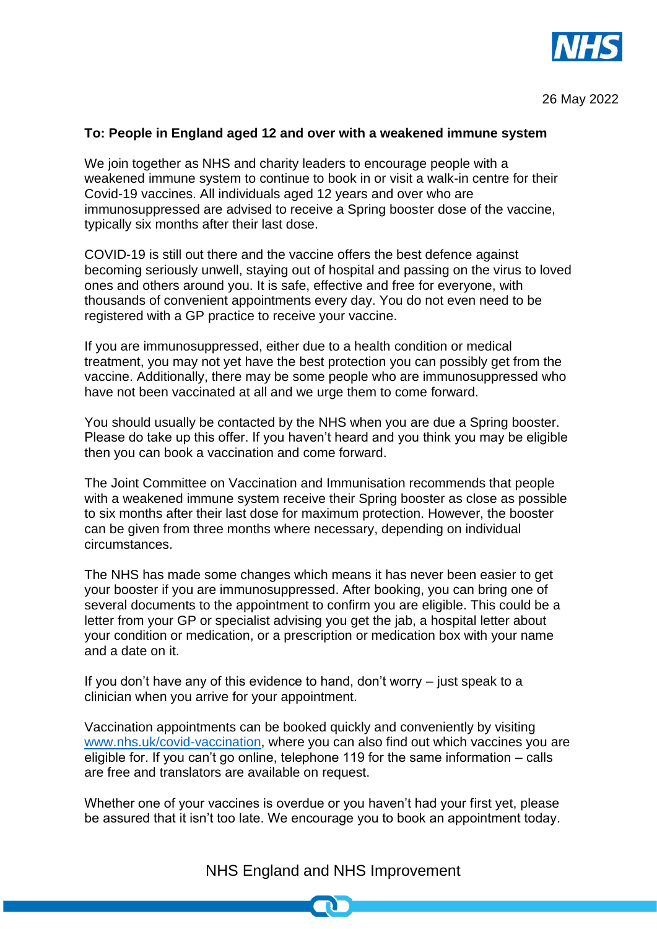

## **To: People in England aged 12 and over with a weakened immune system**

We join together as NHS and charity leaders to encourage people with a weakened immune system to continue to book in or visit a walk-in centre for their Covid-19 vaccines. All individuals aged 12 years and over who are immunosuppressed are advised to receive a Spring booster dose of the vaccine, typically six months after their last dose.

COVID-19 is still out there and the vaccine offers the best defence against becoming seriously unwell, staying out of hospital and passing on the virus to loved ones and others around you. It is safe, effective and free for everyone, with thousands of convenient appointments every day. You do not even need to be registered with a GP practice to receive your vaccine.

If you are immunosuppressed, either due to a health condition or medical treatment, you may not yet have the best protection you can possibly get from the vaccine. Additionally, there may be some people who are immunosuppressed who have not been vaccinated at all and we urge them to come forward.

You should usually be contacted by the NHS when you are due a Spring booster. Please do take up this offer. If you haven't heard and you think you may be eligible then you can book a vaccination and come forward.

The Joint Committee on Vaccination and Immunisation recommends that people with a weakened immune system receive their Spring booster as close as possible to six months after their last dose for maximum protection. However, the booster can be given from three months where necessary, depending on individual circumstances.

The NHS has made some changes which means it has never been easier to get your booster if you are immunosuppressed. After booking, you can bring one of several documents to the appointment to confirm you are eligible. This could be a letter from your GP or specialist advising you get the jab, a hospital letter about your condition or medication, or a prescription or medication box with your name and a date on it.

If you don't have any of this evidence to hand, don't worry – just speak to a clinician when you arrive for your appointment.

Vaccination appointments can be booked quickly and conveniently by visiting [www.nhs.uk/covid-vaccination,](http://www.nhs.uk/covid-vaccination) where you can also find out which vaccines you are eligible for. If you can't go online, telephone 119 for the same information – calls are free and translators are available on request.

Whether one of your vaccines is overdue or you haven't had your first yet, please be assured that it isn't too late. We encourage you to book an appointment today.

NHS England and NHS Improvement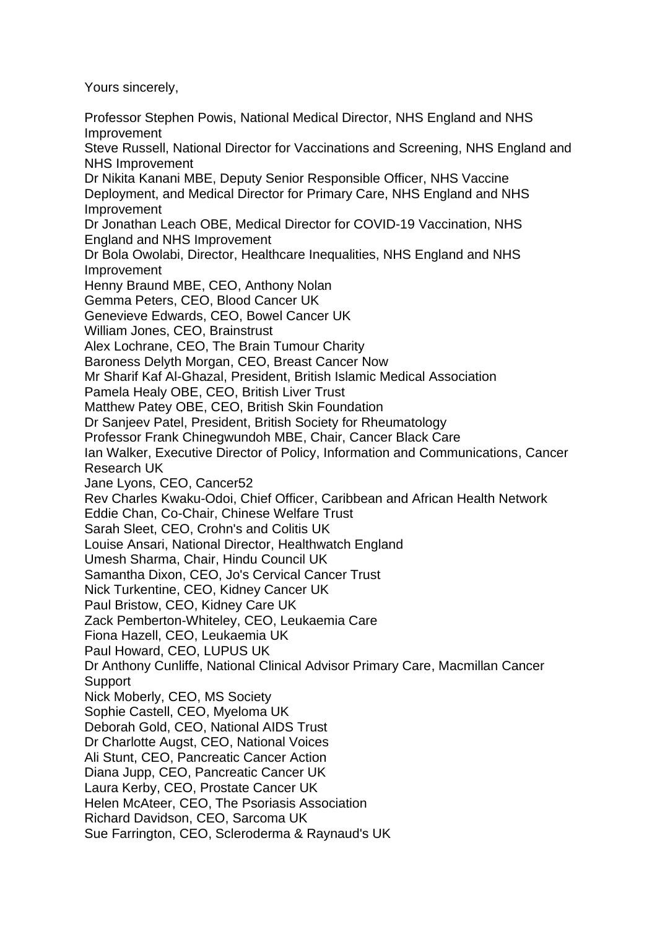Yours sincerely,

Professor Stephen Powis, National Medical Director, NHS England and NHS Improvement Steve Russell, National Director for Vaccinations and Screening, NHS England and NHS Improvement Dr Nikita Kanani MBE, Deputy Senior Responsible Officer, NHS Vaccine Deployment, and Medical Director for Primary Care, NHS England and NHS Improvement Dr Jonathan Leach OBE, Medical Director for COVID-19 Vaccination, NHS England and NHS Improvement Dr Bola Owolabi, Director, Healthcare Inequalities, NHS England and NHS Improvement Henny Braund MBE, CEO, Anthony Nolan Gemma Peters, CEO, Blood Cancer UK Genevieve Edwards, CEO, Bowel Cancer UK William Jones, CEO, Brainstrust Alex Lochrane, CEO, The Brain Tumour Charity Baroness Delyth Morgan, CEO, Breast Cancer Now Mr Sharif Kaf Al-Ghazal, President, British Islamic Medical Association Pamela Healy OBE, CEO, British Liver Trust Matthew Patey OBE, CEO, British Skin Foundation Dr Sanjeev Patel, President, British Society for Rheumatology Professor Frank Chinegwundoh MBE, Chair, Cancer Black Care Ian Walker, Executive Director of Policy, Information and Communications, Cancer Research UK Jane Lyons, CEO, Cancer52 Rev Charles Kwaku-Odoi, Chief Officer, Caribbean and African Health Network Eddie Chan, Co-Chair, Chinese Welfare Trust Sarah Sleet, CEO, Crohn's and Colitis UK Louise Ansari, National Director, Healthwatch England Umesh Sharma, Chair, Hindu Council UK Samantha Dixon, CEO, Jo's Cervical Cancer Trust Nick Turkentine, CEO, Kidney Cancer UK Paul Bristow, CEO, Kidney Care UK Zack Pemberton-Whiteley, CEO, Leukaemia Care Fiona Hazell, CEO, Leukaemia UK Paul Howard, CEO, LUPUS UK Dr Anthony Cunliffe, National Clinical Advisor Primary Care, Macmillan Cancer **Support** Nick Moberly, CEO, MS Society Sophie Castell, CEO, Myeloma UK Deborah Gold, CEO, National AIDS Trust Dr Charlotte Augst, CEO, National Voices Ali Stunt, CEO, Pancreatic Cancer Action Diana Jupp, CEO, Pancreatic Cancer UK Laura Kerby, CEO, Prostate Cancer UK Helen McAteer, CEO, The Psoriasis Association Richard Davidson, CEO, Sarcoma UK Sue Farrington, CEO, Scleroderma & Raynaud's UK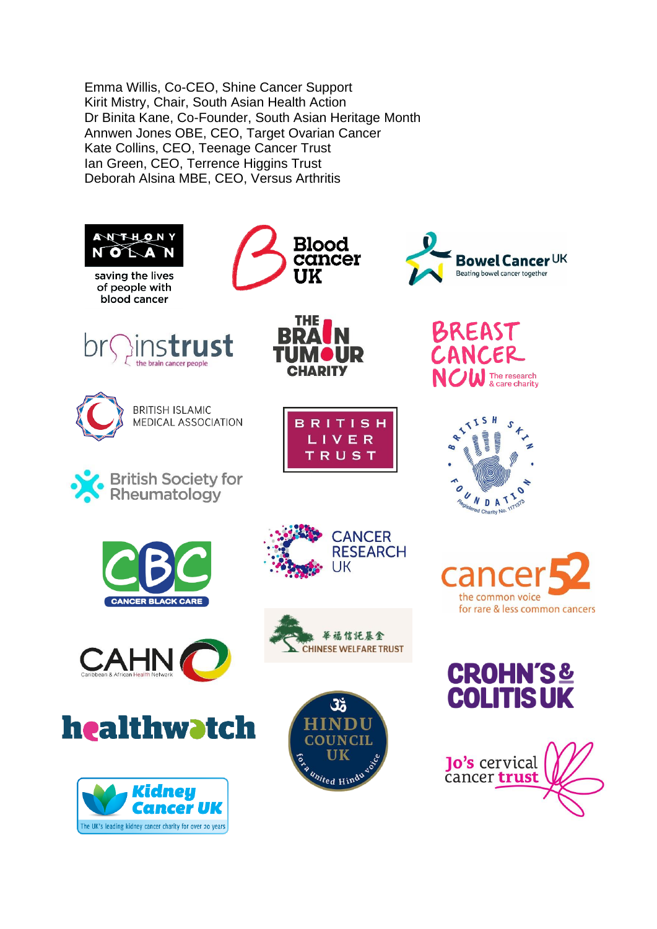Emma Willis, Co-CEO, Shine Cancer Support Kirit Mistry, Chair, South Asian Health Action Dr Binita Kane, Co-Founder, South Asian Heritage Month Annwen Jones OBE, CEO, Target Ovarian Cancer Kate Collins, CEO, Teenage Cancer Trust Ian Green, CEO, Terrence Higgins Trust Deborah Alsina MBE, CEO, Versus Arthritis





the brain cancer peopl

**BRITISH ISLAMIC** 

**British Society for** Rheumatology

MEDICAL ASSOCIATION



**CHADITY** 

**BRITISH** LIVER TRUST























 $UK$ 



**CANCER RESEARCH**